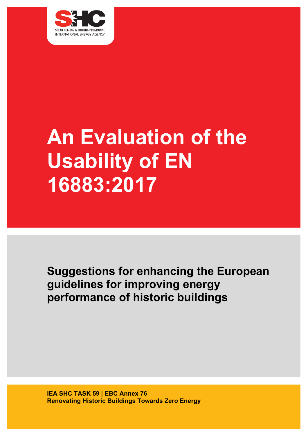

# **An Evaluation of the Usability of EN 16883:2017**

**Suggestions for enhancing the European guidelines for improving energy performance of historic buildings**

**IEA SHC TASK 59 | EBC Annex 76 Renovating Historic Buildings Towards Zero Energy**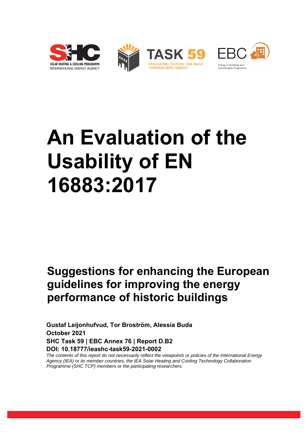







# **An Evaluation of the Usability of EN 16883:2017**

# **Suggestions for enhancing the European guidelines for improving the energy performance of historic buildings**

**Gustaf Leijonhufvud, Tor Broström, Alessia Buda October 2021 SHC Task 59 | EBC Annex 76 | Report D.B2 DOI: 10.18777/ieashc-task59-2021-0002**

*The contents of this report do not necessarily reflect the viewpoints or policies of the International Energy Agency (IEA) or its member countries, the IEA Solar Heating and Cooling Technology Collaboration Programme (SHC TCP) members or the participating researchers.*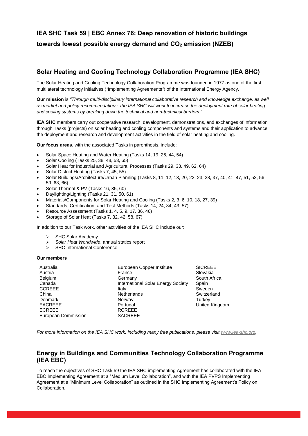## **IEA SHC Task 59 | EBC Annex 76: Deep renovation of historic buildings towards lowest possible energy demand and CO<sup>2</sup> emission (NZEB)**

#### **Solar Heating and Cooling Technology Collaboration Programme (IEA SHC)**

The Solar Heating and Cooling Technology Collaboration Programme was founded in 1977 as one of the first multilateral technology initiatives (*"*Implementing Agreements*"*) of the International Energy Agency.

**Our mission** is *"Through multi-disciplinary international collaborative research and knowledge exchange, as well as market and policy recommendations, the IEA SHC will work to increase the deployment rate of solar heating and cooling systems by breaking down the technical and non-technical barriers."*

**IEA SHC** members carry out cooperative research, development, demonstrations, and exchanges of information through Tasks (projects) on solar heating and cooling components and systems and their application to advance the deployment and research and development activities in the field of solar heating and cooling.

**Our focus areas,** with the associated Tasks in parenthesis, include:

- Solar Space Heating and Water Heating (Tasks 14, 19, 26, 44, 54)
- Solar Cooling (Tasks 25, 38, 48, 53, 65)
- Solar Heat for Industrial and Agricultural Processes (Tasks 29, 33, 49, 62, 64)
- Solar District Heating (Tasks 7, 45, 55)
- Solar Buildings/Architecture/Urban Planning (Tasks 8, 11, 12, 13, 20, 22, 23, 28, 37, 40, 41, 47, 51, 52, 56, 59, 63, 66)
- Solar Thermal & PV (Tasks 16, 35, 60)
- Daylighting/Lighting (Tasks 21, 31, 50, 61)
- Materials/Components for Solar Heating and Cooling (Tasks 2, 3, 6, 10, 18, 27, 39)
- Standards, Certification, and Test Methods (Tasks 14, 24, 34, 43, 57)
- Resource Assessment (Tasks 1, 4, 5, 9, 17, 36, 46)
- Storage of Solar Heat (Tasks 7, 32, 42, 58, 67)

In addition to our Task work, other activities of the IEA SHC include our:

- ➢ SHC Solar Academy
- ➢ *Solar Heat Worldwide*, annual statics report
- ➢ SHC International Conference

#### **Our members**

| European Copper Institute          | <b>SICREEE</b>        |
|------------------------------------|-----------------------|
| France                             | Slovakia              |
| Germany                            | South Africa          |
| International Solar Energy Society | Spain                 |
| Italy                              | Sweden                |
| <b>Netherlands</b>                 | Switzerland           |
| Norway                             | Turkey                |
| Portugal                           | <b>United Kingdom</b> |
| <b>RCREEE</b>                      |                       |
| <b>SACREEE</b>                     |                       |
|                                    |                       |

*For more information on the IEA SHC work, including many free publications, please visit [www.iea-shc.org.](http://www.iea-shc.org/)*

#### **Energy in Buildings and Communities Technology Collaboration Programme (IEA EBC)**

To reach the objectives of SHC Task 59 the IEA SHC implementing Agreement has collaborated with the IEA EBC Implementing Agreement at a "Medium Level Collaboration", and with the IEA PVPS Implementing Agreement at a "Minimum Level Collaboration" as outlined in the SHC Implementing Agreement's Policy on Collaboration.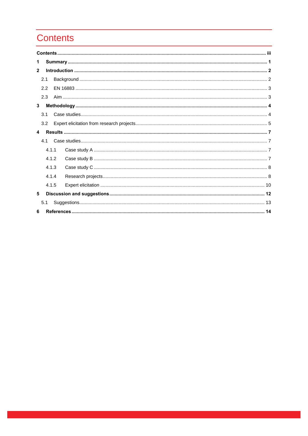# **Contents**

| 1            |       |  |  |
|--------------|-------|--|--|
| $\mathbf{2}$ |       |  |  |
|              | 2.1   |  |  |
|              | 2.2   |  |  |
|              | 2.3   |  |  |
| 3            |       |  |  |
|              | 3.1   |  |  |
|              | 3.2   |  |  |
| 4            |       |  |  |
|              | 4.1   |  |  |
|              | 4.1.1 |  |  |
|              | 4.1.2 |  |  |
|              | 4.1.3 |  |  |
|              | 4.1.4 |  |  |
|              | 4.1.5 |  |  |
| 5            |       |  |  |
|              | 5.1   |  |  |
| 6            |       |  |  |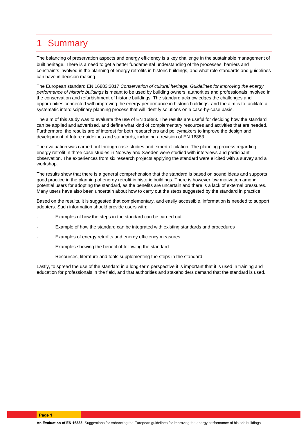# 1 Summary

The balancing of preservation aspects and energy efficiency is a key challenge in the sustainable management of built heritage. There is a need to get a better fundamental understanding of the processes, barriers and constraints involved in the planning of energy retrofits in historic buildings, and what role standards and guidelines can have in decision making.

The European standard EN 16883:2017 *Conservation of cultural heritage. Guidelines for improving the energy performance of historic buildings* is meant to be used by building owners, authorities and professionals involved in the conservation and refurbishment of historic buildings. The standard acknowledges the challenges and opportunities connected with improving the energy performance in historic buildings, and the aim is to facilitate a systematic interdisciplinary planning process that will identify solutions on a case-by-case basis.

The aim of this study was to evaluate the use of EN 16883. The results are useful for deciding how the standard can be applied and advertised, and define what kind of complementary resources and activities that are needed. Furthermore, the results are of interest for both researchers and policymakers to improve the design and development of future guidelines and standards, including a revision of EN 16883.

The evaluation was carried out through case studies and expert elicitation. The planning process regarding energy retrofit in three case studies in Norway and Sweden were studied with interviews and participant observation. The experiences from six research projects applying the standard were elicited with a survey and a workshop.

The results show that there is a general comprehension that the standard is based on sound ideas and supports good practice in the planning of energy retrofit in historic buildings. There is however low motivation among potential users for adopting the standard, as the benefits are uncertain and there is a lack of external pressures. Many users have also been uncertain about how to carry out the steps suggested by the standard in practice.

Based on the results, it is suggested that complementary, and easily accessible, information is needed to support adopters. Such information should provide users with:

- Examples of how the steps in the standard can be carried out
- Example of how the standard can be integrated with existing standards and procedures
- Examples of energy retrofits and energy efficiency measures
- Examples showing the benefit of following the standard
- Resources, literature and tools supplementing the steps in the standard

Lastly, to spread the use of the standard in a long-term perspective it is important that it is used in training and education for professionals in the field, and that authorities and stakeholders demand that the standard is used.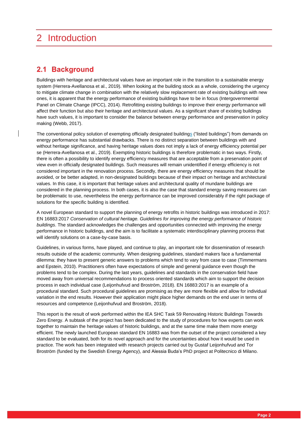# 2 Introduction

## **2.1 Background**

Buildings with heritage and architectural values have an important role in the transition to a sustainable energy system (Herrera-Avellanosa et al., 2019). When looking at the building stock as a whole, considering the urgency to mitigate climate change in combination with the relatively slow replacement rate of existing buildings with new ones, it is apparent that the energy performance of existing buildings have to be in focus (Intergovernmental Panel on Climate Change (IPCC), 2014). Retrofitting existing buildings to improve their energy performance will affect their function but also their heritage and architectural values. As a significant share of existing buildings have such values, it is important to consider the balance between energy performance and preservation in policy making (Webb, 2017).

The conventional policy solution of exempting officially designated buildings ("listed buildings") from demands on energy performance has substantial drawbacks. There is no distinct separation between buildings with and without heritage significance, and having heritage values does not imply a lack of energy efficiency potential per se (Herrera-Avellanosa et al., 2019). Exempting historic buildings is therefore problematic in two ways. Firstly, there is often a possibility to identify energy efficiency measures that are acceptable from a preservation point of view even in officially designated buildings. Such measures will remain unidentified if energy efficiency is not considered important in the renovation process. Secondly, there are energy efficiency measures that should be avoided, or be better adapted, in non-designated buildings because of their impact on heritage and architectural values. In this case, it is important that heritage values and architectural quality of mundane buildings are considered in the planning process. In both cases, it is also the case that standard energy saving measures can be problematic to use, nevertheless the energy performance can be improved considerably if the right package of solutions for the specific building is identified.

A novel European standard to support the planning of energy retrofits in historic buildings was introduced in 2017: EN 16883:2017 *Conservation of cultural heritage. Guidelines for improving the energy performance of historic buildings*. The standard acknowledges the challenges and opportunities connected with improving the energy performance in historic buildings, and the aim is to facilitate a systematic interdisciplinary planning process that will identify solutions on a case-by-case basis.

Guidelines, in various forms, have played, and continue to play, an important role for dissemination of research results outside of the academic community. When designing guidelines, standard makers face a fundamental dilemma: they have to present generic answers to problems which tend to vary from case to case (Timmermans and Epstein, 2010). Practitioners often have expectations of simple and general guidance even though the problems tend to be complex. During the last years, guidelines and standards in the conservation field have moved away from universal recommendations to process oriented standards which aim to support the decision process in each individual case (Leijonhufvud and Broström, 2018). EN 16883:2017 is an example of a procedural standard. Such procedural guidelines are promising as they are more flexible and allow for individual variation in the end results. However their application might place higher demands on the end user in terms of resources and competence (Leijonhufvud and Broström, 2018).

This report is the result of work performed within the IEA SHC Task 59 Renovating Historic Buildings Towards Zero Energy. A subtask of the project has been dedicated to the study of procedures for how experts can work together to maintain the heritage values of historic buildings, and at the same time make them more energy efficient. The newly launched European standard EN 16883 was from the outset of the project considered a key standard to be evaluated, both for its novel approach and for the uncertainties about how it would be used in practice. The work has been integrated with research projects carried out by Gustaf Leijonhufvud and Tor Broström (funded by the Swedish Energy Agency), and Alessia Buda's PhD project at Politecnico di Milano.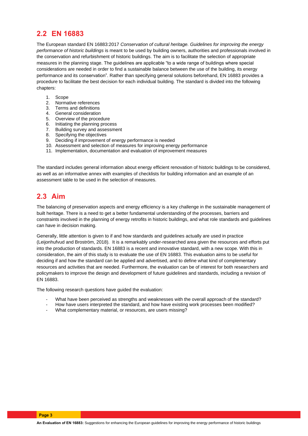## **2.2 EN 16883**

The European standard EN 16883:2017 *Conservation of cultural heritage. Guidelines for improving the energy performance of historic buildings* is meant to be used by building owners, authorities and professionals involved in the conservation and refurbishment of historic buildings. The aim is to facilitate the selection of appropriate measures in the planning stage. The guidelines are applicable "to a wide range of buildings where special considerations are needed in order to find a sustainable balance between the use of the building, its energy performance and its conservation". Rather than specifying general solutions beforehand, EN 16883 provides a procedure to facilitate the best decision for each individual building. The standard is divided into the following chapters:

- 1. Scope
- 2. Normative references
- 3. Terms and definitions
- 4. General consideration
- 5. Overview of the procedure
- 6. Initiating the planning process
- 7. Building survey and assessment
- 8. Specifying the objectives
- 9. Deciding if improvement of energy performance is needed
- 10. Assessment and selection of measures for improving energy performance
- 11. Implementation, documentation and evaluation of improvement measures

The standard includes general information about energy efficient renovation of historic buildings to be considered, as well as an informative annex with examples of checklists for building information and an example of an assessment table to be used in the selection of measures.

## **2.3 Aim**

The balancing of preservation aspects and energy efficiency is a key challenge in the sustainable management of built heritage. There is a need to get a better fundamental understanding of the processes, barriers and constraints involved in the planning of energy retrofits in historic buildings, and what role standards and guidelines can have in decision making.

Generally, little attention is given to if and how standards and guidelines actually are used in practice (Leijonhufvud and Broström, 2018). It is a remarkably under-researched area given the resources and efforts put into the production of standards. EN 16883 is a recent and innovative standard, with a new scope. With this in consideration, the aim of this study is to evaluate the use of EN 16883. This evaluation aims to be useful for deciding if and how the standard can be applied and advertised, and to define what kind of complementary resources and activities that are needed. Furthermore, the evaluation can be of interest for both researchers and policymakers to improve the design and development of future guidelines and standards, including a revision of EN 16883.

The following research questions have guided the evaluation:

- What have been perceived as strengths and weaknesses with the overall approach of the standard?
- How have users interpreted the standard, and how have existing work processes been modified?
- What complementary material, or resources, are users missing?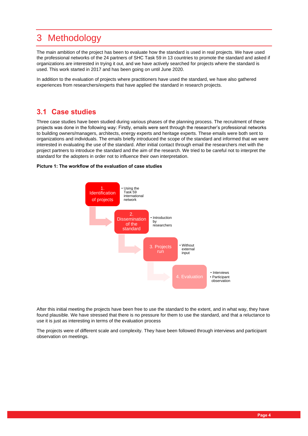# 3 Methodology

The main ambition of the project has been to evaluate how the standard is used in real projects. We have used the professional networks of the 24 partners of SHC Task 59 in 13 countries to promote the standard and asked if organizations are interested in trying it out, and we have actively searched for projects where the standard is used. This work started in 2017 and has been going on until June 2020.

In addition to the evaluation of projects where practitioners have used the standard, we have also gathered experiences from researchers/experts that have applied the standard in research projects.

## **3.1 Case studies**

Three case studies have been studied during various phases of the planning process. The recruitment of these projects was done in the following way: Firstly, emails were sent through the researcher's professional networks to building owners/managers, architects, energy experts and heritage experts. These emails were both sent to organizations and individuals. The emails briefly introduced the scope of the standard and informed that we were interested in evaluating the use of the standard. After initial contact through email the researchers met with the project partners to introduce the standard and the aim of the research. We tried to be careful not to interpret the standard for the adopters in order not to influence their own interpretation.

#### **Picture 1: The workflow of the evaluation of case studies**



After this initial meeting the projects have been free to use the standard to the extent, and in what way, they have found plausible. We have stressed that there is no pressure for them to use the standard, and that a reluctance to use it is just as interesting in terms of the evaluation process

The projects were of different scale and complexity. They have been followed through interviews and participant observation on meetings.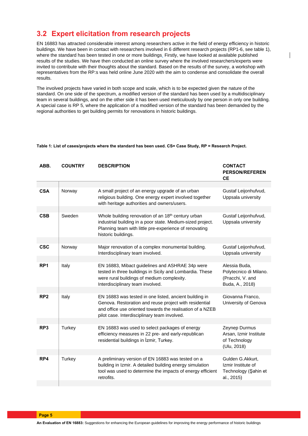## **3.2 Expert elicitation from research projects**

EN 16883 has attracted considerable interest among researchers active in the field of energy efficiency in historic buildings. We have been in contact with researchers involved in 6 different research projects (RP1-6, see table 1), where the standard has been tested in one or more buildings. Firstly, we have looked at available published results of the studies. We have then conducted an online survey where the involved researchers/experts were invited to contribute with their thoughts about the standard. Based on the results of the survey, a workshop with representatives from the RP:s was held online June 2020 with the aim to condense and consolidate the overall results.

The involved projects have varied in both scope and scale, which is to be expected given the nature of the standard. On one side of the spectrum, a modified version of the standard has been used by a multidisciplinary team in several buildings, and on the other side it has been used meticulously by one person in only one building. A special case is RP 5, where the application of a modified version of the standard has been demanded by the regional authorities to get building permits for renovations in historic buildings.

| Table 1: List of cases/projects where the standard has been used. CS= Case Study, RP = Research Project. |  |
|----------------------------------------------------------------------------------------------------------|--|
|----------------------------------------------------------------------------------------------------------|--|

| ABB.            | <b>COUNTRY</b> | <b>DESCRIPTION</b>                                                                                                                                                                                                            | <b>CONTACT</b><br><b>PERSON/REFEREN</b><br><b>CE</b>                           |
|-----------------|----------------|-------------------------------------------------------------------------------------------------------------------------------------------------------------------------------------------------------------------------------|--------------------------------------------------------------------------------|
|                 |                |                                                                                                                                                                                                                               |                                                                                |
| <b>CSA</b>      | Norway         | A small project of an energy upgrade of an urban<br>religious building. One energy expert involved together<br>with heritage authorities and owners/users.                                                                    | Gustaf Leijonhufvud,<br>Uppsala university                                     |
|                 |                |                                                                                                                                                                                                                               |                                                                                |
| <b>CSB</b>      | Sweden         | Whole building renovation of an 18 <sup>th</sup> century urban<br>industrial building in a poor state. Medium-sized project.<br>Planning team with little pre-experience of renovating<br>historic buildings.                 | Gustaf Leijonhufvud,<br>Uppsala university                                     |
|                 |                |                                                                                                                                                                                                                               |                                                                                |
| <b>CSC</b>      | Norway         | Major renovation of a complex monumental building.<br>Interdisciplinary team involved.                                                                                                                                        | Gustaf Leijonhufvud,<br>Uppsala university                                     |
|                 |                |                                                                                                                                                                                                                               |                                                                                |
| RP <sub>1</sub> | Italy          | EN 16883, Mibact guidelines and ASHRAE 34p were<br>tested in three buildings in Sicily and Lombardia. These<br>were rural buildings of medium complexity.<br>Interdisciplinary team involved.                                 | Alessia Buda,<br>Polytecnico di Milano.<br>(Pracchi, V. and<br>Buda, A., 2018) |
| RP <sub>2</sub> | Italy          | EN 16883 was tested in one listed, ancient building in<br>Genova. Restoration and reuse project with residential<br>and office use oriented towards the realisation of a NZEB<br>pilot case. Interdisciplinary team involved. | Giovanna Franco,<br>University of Genova                                       |
|                 |                |                                                                                                                                                                                                                               |                                                                                |
| RP <sub>3</sub> | Turkey         | EN 16883 was used to select packages of energy<br>efficiency measures in 22 pre- and early-republican<br>residential buildings in Izmir, Turkey.                                                                              | Zeynep Durmus<br>Arsan, Izmir Institute<br>of Technology<br>(Ulu, 2018)        |
|                 |                |                                                                                                                                                                                                                               |                                                                                |
| RP4             | Turkey         | A preliminary version of EN 16883 was tested on a<br>building in Izmir. A detailed building energy simulation<br>tool was used to determine the impacts of energy efficient<br>retrofits.                                     | Gulden G.Akkurt,<br>Izmir Institute of<br>Technology (Şahin et<br>al., 2015)   |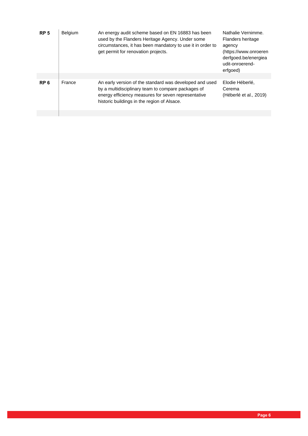| RP <sub>5</sub> | <b>Belgium</b> | An energy audit scheme based on EN 16883 has been<br>used by the Flanders Heritage Agency. Under some<br>circumstances, it has been mandatory to use it in order to<br>get permit for renovation projects.          | Nathalie Vernimme.<br>Flanders heritage<br>agency<br>(https://www.onroeren<br>derfgoed.be/energiea<br>udit-onroerend-<br>erfgoed) |
|-----------------|----------------|---------------------------------------------------------------------------------------------------------------------------------------------------------------------------------------------------------------------|-----------------------------------------------------------------------------------------------------------------------------------|
|                 |                |                                                                                                                                                                                                                     |                                                                                                                                   |
| RP <sub>6</sub> | France         | An early version of the standard was developed and used<br>by a multidisciplinary team to compare packages of<br>energy efficiency measures for seven representative<br>historic buildings in the region of Alsace. | Elodie Héberlé,<br>Cerema<br>(Héberlé et al., 2019)                                                                               |
|                 |                |                                                                                                                                                                                                                     |                                                                                                                                   |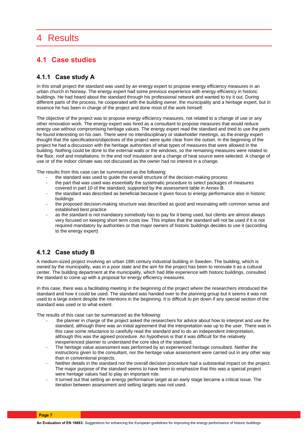# 4 Results

## **4.1 Case studies**

#### **4.1.1 Case study A**

In this small project the standard was used by an energy expert to propose energy efficiency measures in an urban church in Norway. The energy expert had some previous experience with energy efficiency in historic buildings. He had heard about the standard through his professional network and wanted to try it out. During different parts of the process, he cooperated with the building owner, the municipality and a heritage expert, but in essence he has been in charge of the project and done most of the work himself.

The objective of the project was to propose energy efficiency measures, not related to a change of use or any other renovation work. The energy expert was hired as a consultant to propose measures that would reduce energy use without compromising heritage values. The energy expert read the standard and tried to use the parts he found interesting on his own. There were no interdisciplinary or stakeholder meetings, as the energy expert thought that the specifications/objectives of the project were quite clear from the outset. In the beginning of the project he had a discussion with the heritage authorities of what types of measures that were allowed in the building. Nothing could be done to the external walls or the windows, so the remaining measures were related to the floor, roof and installations. In the end roof insulation and a change of heat source were selected. A change of use or of the indoor climate was not discussed as the owner had no interest in a change.

The results from this case can be summarized as the following:

- the standard was used to guide the overall structure of the decision-making process
- the part that was used was essentially the systematic procedure to select packages of measures covered in part 10 of the standard, supported by the assessment table in Annex B.
- the standard was described as beneficial because it gives focus to energy performance also in historic buildings
- the proposed decision-making structure was described as good and resonating with common sense and established best practice
- as the standard is not mandatory somebody has to pay for it being used, but clients are almost always very focused on keeping short term costs low. This implies that the standard will not be used if it is not required mandatory by authorities or that major owners of historic buildings decides to use it (according to the energy expert)

### **4.1.2 Case study B**

A medium-sized project involving an urban 18th century industrial building in Sweden. The building, which is owned by the municipality, was in a poor state and the aim for the project has been to renovate it as a cultural center. The building department at the municipality, which had little experience with historic buildings, consulted the standard to come up with a proposal for energy efficiency measures.

In this case, there was a facilitating meeting in the beginning of the project where the researchers introduced the standard and how it could be used. The standard was handed over to the planning group but it seems it was not used to a large extent despite the intentions in the beginning. It is difficult to pin down if any special section of the standard was used or to what extent.

The results of this case can be summarized as the following:

- the planner in charge of the project asked the researchers for advice about how to interpret and use the standard, although there was an initial agreement that the interpretation was up to the user. There was in this case some reluctance to carefully read the standard and to do an independent interpretation, although this was the agreed procedure. An hypothesis is that it was difficult for the relatively inexperienced planner to understand the core idea of the standard.
- The heritage value assessment was performed by an experienced heritage consultant. Neither the instructions given to the consultant, nor the heritage value assessment were carried out in any other way than in conventional projects.
- Neither details in the standard nor the overall decision procedure had a substantial impact on the project. The major purpose of the standard seems to have been to emphasize that this was a special project were heritage values had to play an important role.
- It turned out that setting an energy performance target at an early stage became a critical issue. The iteration between assessment and setting targets was not used.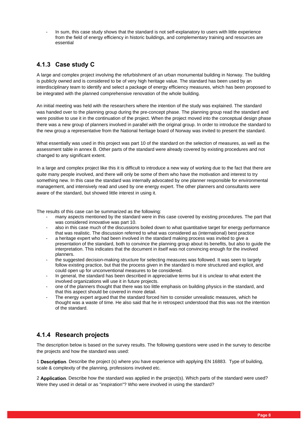In sum, this case study shows that the standard is not self-explanatory to users with little experience from the field of energy efficiency in historic buildings, and complementary training and resources are essential

## **4.1.3 Case study C**

A large and complex project involving the refurbishment of an urban monumental building in Norway. The building is publicly owned and is considered to be of very high heritage value. The standard has been used by an interdisciplinary team to identify and select a package of energy efficiency measures, which has been proposed to be integrated with the planned comprehensive renovation of the whole building.

An initial meeting was held with the researchers where the intention of the study was explained. The standard was handed over to the planning group during the pre-concept phase. The planning group read the standard and were positive to use it in the continuation of the project. When the project moved into the conceptual design phase there was a new group of planners involved in parallel with the original group. In order to introduce the standard to the new group a representative from the National heritage board of Norway was invited to present the standard.

What essentially was used in this project was part 10 of the standard on the selection of measures, as well as the assessment table in annex B. Other parts of the standard were already covered by existing procedures and not changed to any significant extent.

In a large and complex project like this it is difficult to introduce a new way of working due to the fact that there are quite many people involved, and there will only be some of them who have the motivation and interest to try something new. In this case the standard was internally advocated by one planner responsible for environmental management, and intensively read and used by one energy expert. The other planners and consultants were aware of the standard, but showed little interest in using it.

The results of this case can be summarized as the following:

- many aspects mentioned by the standard were in this case covered by existing procedures. The part that was considered innovative was part 10.
- also in this case much of the discussions boiled down to what quantitative target for energy performance that was realistic. The discussion referred to what was considered as (international) best practice
- a heritage expert who had been involved in the standard making process was invited to give a presentation of the standard, both to convince the planning group about its benefits, but also to guide the interpretation. This indicates that the document in itself was not convincing enough for the involved planners.
- the suggested decision-making structure for selecting measures was followed. It was seen to largely follow existing practice, but that the process given in the standard is more structured and explicit, and could open up for unconventional measures to be considered.
- In general, the standard has been described in appreciative terms but it is unclear to what extent the involved organizations will use it in future projects.
- one of the planners thought that there was too little emphasis on building physics in the standard, and that this aspect should be covered in more detail.
- The energy expert argued that the standard forced him to consider unrealistic measures, which he thought was a waste of time. He also said that he in retrospect understood that this was not the intention of the standard.

### **4.1.4 Research projects**

The description below is based on the survey results. The following questions were used in the survey to describe the projects and how the standard was used:

1 **Description**. Describe the project (s) where you have experience with applying EN 16883. Type of building, scale & complexity of the planning, professions involved etc.

2 **Application**. Describe how the standard was applied in the project(s). Which parts of the standard were used? Were they used in detail or as "inspiration"? Who were involved in using the standard?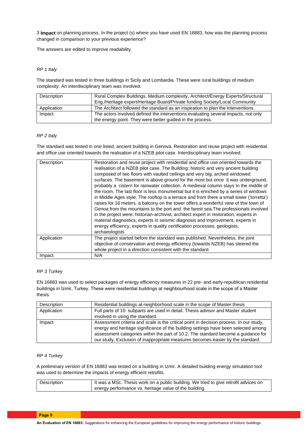3 **Impact** on planning process. In the project (s) where you have used EN 16883, how was the planning process changed in comparison to your previous experience?

The answers are edited to improve readability.

#### *RP 1 Italy*

The standard was tested in three buildings in Sicily and Lombardia. These were rural buildings of medium complexity. An interdisciplinary team was involved.

| Description | Rural Complex Buildings, Medium complexity, Architect/Energy Experts/Structural    |
|-------------|------------------------------------------------------------------------------------|
|             | Eng./Heritage expert/Heritage Board/Private funding Society/Local Community        |
| Application | The Architect followed the standard as an inspiration to plan the interventions.   |
| Impact      | The actors involved defined the interventions evaluating several impacts, not only |
|             | the energy point. They were better guided in the process.                          |

#### *RP 2 Italy*

The standard was tested in one listed, ancient building in Genova. Restoration and reuse project with residential and office use oriented towards the realisation of a NZEB pilot case. Interdisciplinary team involved.

| Description | Restoration and reuse project with residential and office use oriented towards the<br>realisation of a NZEB pilot case. The Building: historic and very ancient building<br>composed of two floors with vaulted ceilings and very big, arched windowed<br>surfaces. The basement is above ground for the most but once it was underground,<br>probably a cistern for rainwater collection. A medieval column stays In the middle of<br>the room. The last floor is less monumental but it is enriched by a series of windows<br>in Middle Ages style. The rooftop is a terrace and from there a small tower ('torretta')<br>raises for 16 meters. a balcony on the tower offers a wonderful view of thw town of<br>Genoa from the mountains to the port and the farest sea. The professionals involved<br>in the project were: historian-archivist, architect expert in restoration, experts in<br>material diagnostics, experts in seismic diagnosis and improvement, experts in<br>energy efficiency, experts in quality certification processes, geologists,<br>archaeologists |
|-------------|-----------------------------------------------------------------------------------------------------------------------------------------------------------------------------------------------------------------------------------------------------------------------------------------------------------------------------------------------------------------------------------------------------------------------------------------------------------------------------------------------------------------------------------------------------------------------------------------------------------------------------------------------------------------------------------------------------------------------------------------------------------------------------------------------------------------------------------------------------------------------------------------------------------------------------------------------------------------------------------------------------------------------------------------------------------------------------------|
| Application | The project started before the standard was published. Nevertheless, the joint<br>objective of conservation and energy efficiency (towards NZEB) has steered the<br>whole project in a direction consistent with the standard.                                                                                                                                                                                                                                                                                                                                                                                                                                                                                                                                                                                                                                                                                                                                                                                                                                                    |
| Impact      | N/A                                                                                                                                                                                                                                                                                                                                                                                                                                                                                                                                                                                                                                                                                                                                                                                                                                                                                                                                                                                                                                                                               |

#### *RP 3 Turkey*

EN 16883 was used to select packages of energy efficiency measures in 22 pre- and early-republican residential buildings in İzmir, Turkey. These were residential buildings at neighbourhood scale in the scope of a Master thesis.

| Description | Residential buildings at neighborhood scale in the scope of Master thesis              |
|-------------|----------------------------------------------------------------------------------------|
| Application | Full parts of 10: subparts are used in detail. Thesis advisor and Master student       |
|             | involved in using the standard.                                                        |
| Impact      | Assessment criteria and scale is the critical point in decision process. In our study, |
|             | energy and heritage significance of the building settings have been selected among     |
|             | assessment categories within the part of 10.2. The standard become a guidance for      |
|             | our study. Exclusion of inappropriate measures becomes easier by the standard.         |

#### *RP 4 Turkey*

A preliminary version of EN 16883 was tested on a building in Izmir. A detailed building energy simulation tool was used to determine the impacts of energy efficient retrofits.

| Description | It was a MSc. Thesis work on a public building. We tried to give retrofit advices on |
|-------------|--------------------------------------------------------------------------------------|
|             | I energy performance vs. heritage value of the building.                             |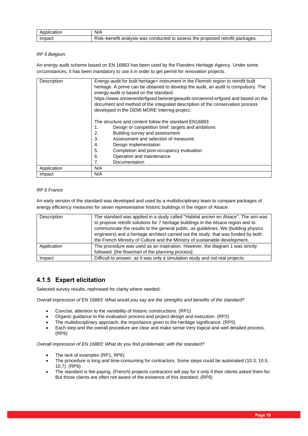| Application | N/A                                                                           |
|-------------|-------------------------------------------------------------------------------|
| Impact      | Risk–benefit analysis was conducted to assess the proposed retrofit packages. |

#### *RP 5 Belgium*

An energy audit scheme based on EN 16883 has been used by the Flanders Heritage Agency. Under some circumstances, it has been mandatory to use it in order to get permit for renovation projects.

| Description | Energy-audit for built heritage= instrument in the Flemish region to retrofit built |
|-------------|-------------------------------------------------------------------------------------|
|             | heritage. A prime can be obtained to develop the audit, an audit is compulsory. The |
|             | energy-audit is based on the standard.                                              |
|             | https://www.onroerenderfgoed.be/energieaudit-onroerend-erfgoed and based on the     |
|             | document and method of the integrated description of the conservation process       |
|             | developed in the DEMI MORE Interreg-project.                                        |
|             |                                                                                     |
|             | The structure and content follow the standard EN16883:                              |
|             | Design or competition brief: targets and ambitions                                  |
|             | Building survey and assessment<br>2.                                                |
|             |                                                                                     |
|             | Assessment and selection of measures<br>3.                                          |
|             | 4.<br>Design implementation                                                         |
|             | 5.<br>Completion and post-occupancy evaluation                                      |
|             | Operation and maintenance<br>6.                                                     |
|             | 7.<br>Documentation                                                                 |
| Application | N/A                                                                                 |
| Impact      | N/A                                                                                 |

#### *RP 6 France*

An early version of the standard was developed and used by a multidisciplinary team to compare packages of energy efficiency measures for seven representative historic buildings in the region of Alsace.

| Description | The standard was applied in a study called "Habitat ancien en Alsace". The aim was<br>to propose retrofit solutions for 7 heritage buildings in the Alsace region and to<br>communicate the results to the general public, as guidelines. We (building physics<br>engineers) and a heritage architect carried out the study, that was funded by both<br>the French Ministry of Culture and the Ministry of sustainable development. |
|-------------|-------------------------------------------------------------------------------------------------------------------------------------------------------------------------------------------------------------------------------------------------------------------------------------------------------------------------------------------------------------------------------------------------------------------------------------|
| Application | The procedure was used as an inspiration. However, the diagram 1 was strictly<br>followed. [the flowchart of the planning process]                                                                                                                                                                                                                                                                                                  |
| Impact      | Difficult to answer, as it was only a simulation study and not real projects.                                                                                                                                                                                                                                                                                                                                                       |

### **4.1.5 Expert elicitation**

Selected survey results, rephrased for clarity where needed:

*Overall impression of EN 16883: What would you say are the strengths and benefits of the standard?*

- Concise, attention to the variability of historic constructions. (RP1)
- Organic guidance to the evaluation process and project design and execution. (RP2)
- The multidisciplinary approach, the importance given to the heritage significance. (RP5)
- Each step and the overall procedure are clear and make sense.Very logical and well detailed process. (RP6)

*Overall impression of EN 16883: What do you find problematic with the standard?*

- The lack of examples (RP1, RP6)
- The procedure is long and time-consuming for contractors. Some steps could be automated (10.3, 10.5, 10.7). (RP6)
- The standard is fee-paying. (French) projects contractors will pay for it only if their clients asked them for. But those clients are often not aware of the existence of this standard. (RP6)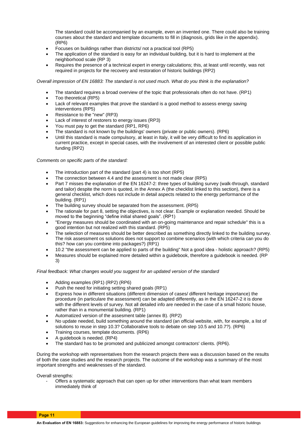The standard could be accompanied by an example, even an invented one. There could also be training courses about the standard and template documents to fill in (diagnosis, grids like in the appendix). (RP6)

- Focuses on buildings rather than districts/ not a practical tool (RP5)
- The application of the standard is easy for an individual building, but it is hard to implement at the neighborhood scale (RP 3)
- Requires the presence of a technical expert in energy calculations; this, at least until recently, was not required in projects for the recovery and restoration of historic buildings (RP2)

*Overall impression of EN 16883: The standard is not used much. What do you think is the explanation?*

- The standard requires a broad overview of the topic that professionals often do not have. (RP1)
- Too theoretical (RP5)
- Lack of relevant examples that prove the standard is a good method to assess energy saving interventions (RP5)
- Resistance to the "new" (RP3)
- Lack of interest of restorers to energy issues (RP3)
- You must pay to get the standard (RP1, RP6)
- The standard is not known by the buildings' owners (private or public owners). (RP6)
- Until this standard is made compulsory, at least in Italy, it will be very difficult to find its application in current practice, except in special cases, with the involvement of an interested client or possible public funding (RP2)

#### *Comments on specific parts of the standard:*

- The introduction part of the standard (part 4) is too short (RP5)
- The connection between 4.4 and the assessment is not made clear (RP5)
- Part 7 misses the explanation of the EN 16247-2: three types of building survey (walk-through, standard and tailor) despite the norm is quoted, in the Annex A (the checklist linked to this section), there is a general checklist, which does not include in detail aspects related to the energy performance of the building. (RP1)
- The building survey should be separated from the assessment. (RP5)
- The rationale for part 8, setting the objectives, is not clear. Example or explanation needed. Should be moved to the beginning "define initial shared goals". (RP1)
- "Energy measures should be coordinated with an on-going maintenance and repair schedule" this is a good intention but not realized with this standard. (RP5)
- The selection of measures should be better described as something directly linked to the building survey. The risk assessment os solutions does not support to combine scenarios (with which criteria can you do this? how can you combine into packages?) (RP1)
- 10.2 "the assessment can be applied to parts of the building" Not a good idea holistic approach? (RP5)
- Measures should be explained more detailed within a guidebook, therefore a guidebook is needed. (RP 3)

#### *Final feedback: What changes would you suggest for an updated version of the standard*

- Adding examples (RP1) (RP2) (RP6)
- Push the need for initiating setting shared goals (RP1)
- Express how in different situations (different dimension of cases/ different heritage importance) the procedure (in particulare the assessment) can be adapted differently, as in the EN 16247-2 it is done with the different levels of survey. Not all detailed info are needed in the case of a small historic house, rather than in a monumental building. (RP1)
- Automatized version of the assesment table (annex B). (RP2)
- No update needed, build something around the standard (an official website, with, for example, a list of solutions to reuse in step 10.3? Collaborative tools to debate on step 10.5 and 10.7?). (RP6)
- Training courses, template documents. (RP6)
- A guidebook is needed. (RP4)
- The standard has to be promoted and publicized amongst contractors' clients. (RP6).

During the workshop with representatives from the research projects there was a discussion based on the results of both the case studies and the research projects. The outcome of the workshop was a summary of the most important strengths and weaknesses of the standard.

Overall strengths:

Offers a systematic approach that can open up for other interventions than what team members immediately think of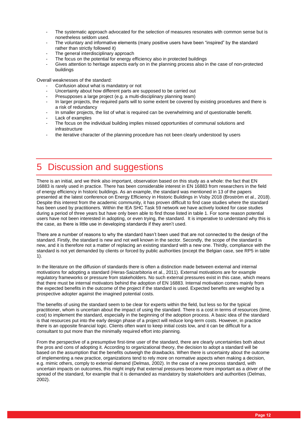- The systematic approach advocated for the selection of measures resonates with common sense but is nonetheless seldom used.
- The voluntary and informative elements (many positive users have been "inspired" by the standard rather than strictly followed it)
- The general interdisciplinary approach
- The focus on the potential for energy efficiency also in protected buildings
- Gives attention to heritage aspects early on in the planning process also in the case of non-protected buildings

Overall weaknesses of the standard:

- Confusion about what is mandatory or not
- Uncertainty about how different parts are supposed to be carried out
- Presupposes a large project (e.g. a multi-disciplinary planning team)
- In larger projects, the required parts will to some extent be covered by existing procedures and there is a risk of redundancy
- In smaller projects, the list of what is required can be overwhelming and of questionable benefit.
- Lack of examples
- The focus on the individual building implies missed opportunities of communal solutions and infrastructure
- the iterative character of the planning procedure has not been clearly understood by users

# **Discussion and suggestions**

There is an initial, and we think also important, observation based on this study as a whole: the fact that EN 16883 is rarely used in practice. There has been considerable interest in EN 16883 from researchers in the field of energy efficiency in historic buildings. As an example, the standard was mentioned in 13 of the papers presented at the latest conference on Energy Efficiency in Historic Buildings in Visby 2018 (Broström et al., 2018). Despite this interest from the academic community, it has proven difficult to find case studies where the standard has been used by practitioners. Within the IEA SHC Task 59 network we have actively looked for case studies during a period of three years but have only been able to find those listed in table 1. For some reason potential users have not been interested in adopting, or even trying, the standard. It is imperative to understand why this is the case, as there is little use in developing standards if they aren't used.

There are a number of reasons to why the standard hasn't been used that are not connected to the design of the standard. Firstly, the standard is new and not well known in the sector. Secondly, the scope of the standard is new, and it is therefore not a matter of replacing an existing standard with a new one. Thirdly, compliance with the standard is not yet demanded by clients or forced by public authorities (except the Belgian case, see RP5 in table 1).

In the literature on the diffusion of standards there is often a distinction made between external and internal motivations for adopting a standard (Heras‐Saizarbitoria et al., 2011). External motivations are for example regulatory frameworks or pressure from stakeholders. No such external pressures exist in this case, which means that there must be internal motivators behind the adoption of EN 16883. Internal motivation comes mainly from the expected benefits in the outcome of the project if the standard is used. Expected benefits are weighed by a prospective adopter against the imagined potential costs.

The benefits of using the standard seem to be clear for experts within the field, but less so for the typical practitioner, whom is uncertain about the impact of using the standard. There is a cost in terms of resources (time, cost) to implement the standard, especially in the beginning of the adoption process. A basic idea of the standard is that resources put into the early design phase of a project will reduce long-term costs. However, in practice there is an opposite financial logic. Clients often want to keep initial costs low, and it can be difficult for a consultant to put more than the minimally required effort into planning.

From the perspective of a presumptive first-time user of the standard, there are clearly uncertainties both about the pros and cons of adopting it. According to organizational theory, the decision to adopt a standard will be based on the assumption that the benefits outweigh the drawbacks. When there is uncertainty about the outcome of implementing a new practice, organizations tend to rely more on normative aspects when making a decision, e.g. mimic others, comply to external demand (Delmas, 2002). In the case of a new process standard, with uncertain impacts on outcomes, this might imply that external pressures become more important as a driver of the spread of the standard, for example that it is demanded as mandatory by stakeholders and authorities (Delmas, 2002).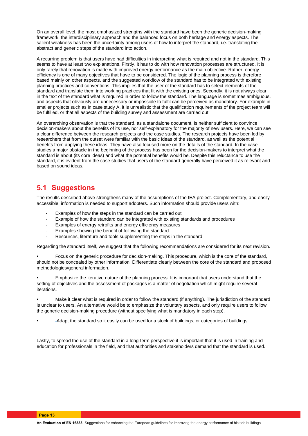On an overall level, the most emphasized strengths with the standard have been the generic decision-making framework, the interdisciplinary approach and the balanced focus on both heritage and energy aspects. The salient weakness has been the uncertainty among users of how to interpret the standard, i.e. translating the abstract and generic steps of the standard into action.

A recurring problem is that users have had difficulties in interpreting what is required and not in the standard. This seems to have at least two explanations. Firstly, it has to do with how renovation processes are structured. It is only rarely that renovation is made with improved energy performance as the main objective. Rather, energy efficiency is one of many objectives that have to be considered. The logic of the planning process is therefore based mainly on other aspects, and the suggested workflow of the standard has to be integrated with existing planning practices and conventions. This implies that the user of the standard has to select elements of the standard and translate them into working practices that fit with the existing ones. Secondly, it is not always clear in the text of the standard what is required in order to follow the standard. The language is sometimes ambiguous, and aspects that obviously are unnecessary or impossible to fulfil can be perceived as mandatory. For example in smaller projects such as in case study A, it is unrealistic that the qualification requirements of the project team will be fulfilled, or that all aspects of the building survey and assessment are carried out.

An overarching observation is that the standard, as a standalone document, is neither sufficient to convince decision-makers about the benefits of its use, nor self-explanatory for the majority of new users. Here, we can see a clear difference between the research projects and the case studies. The research projects have been led by researchers that from the outset were familiar with the basic ideas of the standard, as well as the potential benefits from applying these ideas. They have also focused more on the details of the standard. In the case studies a major obstacle in the beginning of the process has been for the decision-makers to interpret what the standard is about (its core ideas) and what the potential benefits would be. Despite this reluctance to use the standard, it is evident from the case studies that users of the standard generally have perceived it as relevant and based on sound ideas.

## **5.1 Suggestions**

The results described above strengthens many of the assumptions of the IEA project. Complementary, and easily accessible, information is needed to support adopters. Such information should provide users with:

- Examples of how the steps in the standard can be carried out
- Example of how the standard can be integrated with existing standards and procedures
- Examples of energy retrofits and energy efficiency measures
- Examples showing the benefit of following the standard
- Resources, literature and tools supplementing the steps in the standard

Regarding the standard itself, we suggest that the following recommendations are considered for its next revision.

• Focus on the generic procedure for decision-making. This procedure, which is the core of the standard, should not be concealed by other information. Differentiate clearly between the core of the standard and proposed methodologies/general information.

• Emphasize the iterative nature of the planning process. It is important that users understand that the setting of objectives and the assessment of packages is a matter of negotiation which might require several iterations.

• Make it clear what is required in order to follow the standard (if anything). The jurisdiction of the standard is unclear to users. An alternative would be to emphasize the voluntary aspects, and only require users to follow the generic decision-making procedure (without specifying what is mandatory in each step).

• .Adapt the standard so it easily can be used for a stock of buildings, or categories of buildings.

Lastly, to spread the use of the standard in a long-term perspective it is important that it is used in training and education for professionals in the field, and that authorities and stakeholders demand that the standard is used.